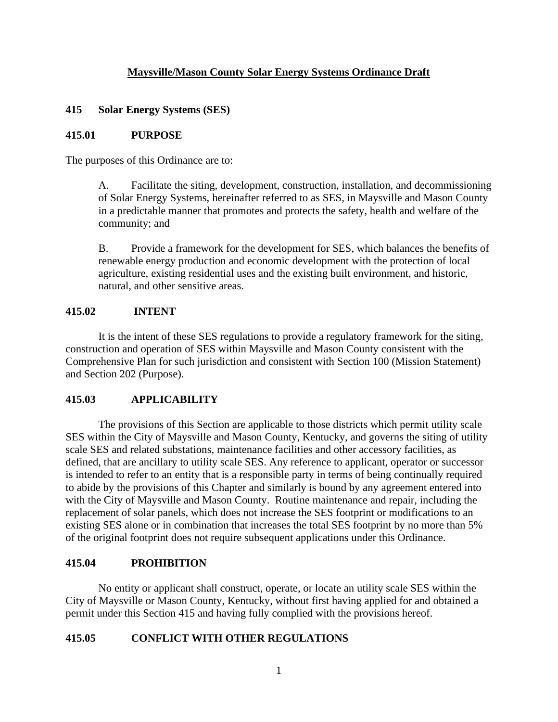# **Maysville/Mason County Solar Energy Systems Ordinance Draft**

## **415 Solar Energy Systems (SES)**

## **415.01 PURPOSE**

The purposes of this Ordinance are to:

A. Facilitate the siting, development, construction, installation, and decommissioning of Solar Energy Systems, hereinafter referred to as SES, in Maysville and Mason County in a predictable manner that promotes and protects the safety, health and welfare of the community; and

B. Provide a framework for the development for SES, which balances the benefits of renewable energy production and economic development with the protection of local agriculture, existing residential uses and the existing built environment, and historic, natural, and other sensitive areas.

## **415.02 INTENT**

It is the intent of these SES regulations to provide a regulatory framework for the siting, construction and operation of SES within Maysville and Mason County consistent with the Comprehensive Plan for such jurisdiction and consistent with Section 100 (Mission Statement) and Section 202 (Purpose).

# **415.03 APPLICABILITY**

The provisions of this Section are applicable to those districts which permit utility scale SES within the City of Maysville and Mason County, Kentucky, and governs the siting of utility scale SES and related substations, maintenance facilities and other accessory facilities, as defined, that are ancillary to utility scale SES. Any reference to applicant, operator or successor is intended to refer to an entity that is a responsible party in terms of being continually required to abide by the provisions of this Chapter and similarly is bound by any agreement entered into with the City of Maysville and Mason County. Routine maintenance and repair, including the replacement of solar panels, which does not increase the SES footprint or modifications to an existing SES alone or in combination that increases the total SES footprint by no more than 5% of the original footprint does not require subsequent applications under this Ordinance.

### **415.04 PROHIBITION**

No entity or applicant shall construct, operate, or locate an utility scale SES within the City of Maysville or Mason County, Kentucky, without first having applied for and obtained a permit under this Section 415 and having fully complied with the provisions hereof.

### **415.05 CONFLICT WITH OTHER REGULATIONS**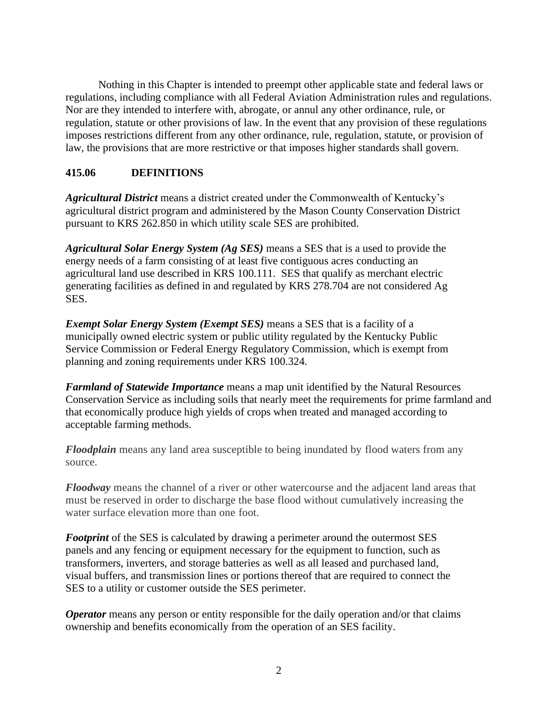Nothing in this Chapter is intended to preempt other applicable state and federal laws or regulations, including compliance with all Federal Aviation Administration rules and regulations. Nor are they intended to interfere with, abrogate, or annul any other ordinance, rule, or regulation, statute or other provisions of law. In the event that any provision of these regulations imposes restrictions different from any other ordinance, rule, regulation, statute, or provision of law, the provisions that are more restrictive or that imposes higher standards shall govern.

## **415.06 DEFINITIONS**

*Agricultural District* means a district created under the Commonwealth of Kentucky's agricultural district program and administered by the Mason County Conservation District pursuant to KRS 262.850 in which utility scale SES are prohibited.

*Agricultural Solar Energy System (Ag SES)* means a SES that is a used to provide the energy needs of a farm consisting of at least five contiguous acres conducting an agricultural land use described in KRS 100.111. SES that qualify as merchant electric generating facilities as defined in and regulated by KRS 278.704 are not considered Ag SES.

*Exempt Solar Energy System (Exempt SES)* means a SES that is a facility of a municipally owned electric system or public utility regulated by the Kentucky Public Service Commission or Federal Energy Regulatory Commission, which is exempt from planning and zoning requirements under KRS 100.324.

*Farmland of Statewide Importance* means a map unit identified by the Natural Resources Conservation Service as including soils that nearly meet the requirements for prime farmland and that economically produce high yields of crops when treated and managed according to acceptable farming methods.

*Floodplain* means any land area susceptible to being inundated by flood waters from any source.

*Floodway* means the channel of a river or other watercourse and the adjacent land areas that must be reserved in order to discharge the base flood without cumulatively increasing the water surface elevation more than one foot.

*Footprint* of the SES is calculated by drawing a perimeter around the outermost SES panels and any fencing or equipment necessary for the equipment to function, such as transformers, inverters, and storage batteries as well as all leased and purchased land, visual buffers, and transmission lines or portions thereof that are required to connect the SES to a utility or customer outside the SES perimeter.

*Operator* means any person or entity responsible for the daily operation and/or that claims ownership and benefits economically from the operation of an SES facility.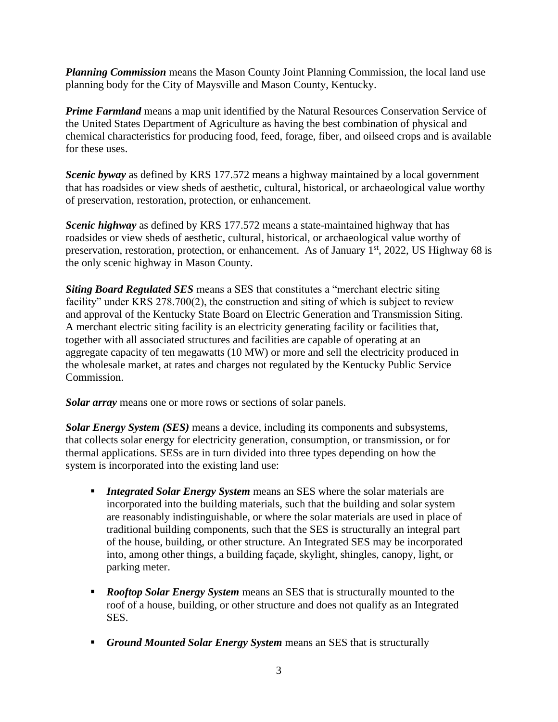*Planning Commission* means the Mason County Joint Planning Commission, the local land use planning body for the City of Maysville and Mason County, Kentucky.

*Prime Farmland* means a map unit identified by the Natural Resources Conservation Service of the United States Department of Agriculture as having the best combination of physical and chemical characteristics for producing food, feed, forage, fiber, and oilseed crops and is available for these uses.

*Scenic byway* as defined by KRS 177.572 means a highway maintained by a local government that has roadsides or view sheds of aesthetic, cultural, historical, or archaeological value worthy of preservation, restoration, protection, or enhancement.

*Scenic highway* as defined by KRS 177.572 means a state-maintained highway that has roadsides or view sheds of aesthetic, cultural, historical, or archaeological value worthy of preservation, restoration, protection, or enhancement. As of January 1<sup>st</sup>, 2022, US Highway 68 is the only scenic highway in Mason County.

*Siting Board Regulated SES* means a SES that constitutes a "merchant electric siting facility" under KRS 278.700(2), the construction and siting of which is subject to review and approval of the Kentucky State Board on Electric Generation and Transmission Siting. A merchant electric siting facility is an electricity generating facility or facilities that, together with all associated structures and facilities are capable of operating at an aggregate capacity of ten megawatts (10 MW) or more and sell the electricity produced in the wholesale market, at rates and charges not regulated by the Kentucky Public Service Commission.

*Solar array* means one or more rows or sections of solar panels.

*Solar Energy System (SES)* means a device, including its components and subsystems, that collects solar energy for electricity generation, consumption, or transmission, or for thermal applications. SESs are in turn divided into three types depending on how the system is incorporated into the existing land use:

- **Integrated Solar Energy System** means an SES where the solar materials are incorporated into the building materials, such that the building and solar system are reasonably indistinguishable, or where the solar materials are used in place of traditional building components, such that the SES is structurally an integral part of the house, building, or other structure. An Integrated SES may be incorporated into, among other things, a building façade, skylight, shingles, canopy, light, or parking meter.
- *Rooftop Solar Energy System* means an SES that is structurally mounted to the roof of a house, building, or other structure and does not qualify as an Integrated SES.
- *Ground Mounted Solar Energy System* means an SES that is structurally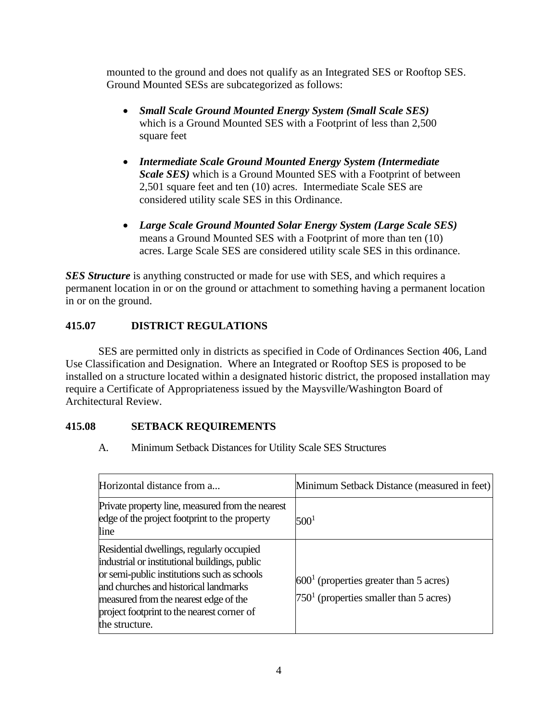mounted to the ground and does not qualify as an Integrated SES or Rooftop SES. Ground Mounted SESs are subcategorized as follows:

- *Small Scale Ground Mounted Energy System (Small Scale SES)*  which is a Ground Mounted SES with a Footprint of less than 2,500 square feet
- *Intermediate Scale Ground Mounted Energy System (Intermediate Scale SES)* which is a Ground Mounted SES with a Footprint of between 2,501 square feet and ten (10) acres. Intermediate Scale SES are considered utility scale SES in this Ordinance.
- *Large Scale Ground Mounted Solar Energy System (Large Scale SES)*  means a Ground Mounted SES with a Footprint of more than ten (10) acres. Large Scale SES are considered utility scale SES in this ordinance.

**SES Structure** is anything constructed or made for use with SES, and which requires a permanent location in or on the ground or attachment to something having a permanent location in or on the ground.

# **415.07 DISTRICT REGULATIONS**

SES are permitted only in districts as specified in Code of Ordinances Section 406, Land Use Classification and Designation. Where an Integrated or Rooftop SES is proposed to be installed on a structure located within a designated historic district, the proposed installation may require a Certificate of Appropriateness issued by the Maysville/Washington Board of Architectural Review.

# **415.08 SETBACK REQUIREMENTS**

A. Minimum Setback Distances for Utility Scale SES Structures

| Horizontal distance from a                                                                                                                                                                                                                                                                  | Minimum Setback Distance (measured in feet)                                          |
|---------------------------------------------------------------------------------------------------------------------------------------------------------------------------------------------------------------------------------------------------------------------------------------------|--------------------------------------------------------------------------------------|
| Private property line, measured from the nearest<br>edge of the project footprint to the property<br>line                                                                                                                                                                                   | $500^{1}$                                                                            |
| Residential dwellings, regularly occupied<br>industrial or institutional buildings, public<br>or semi-public institutions such as schools<br>and churches and historical landmarks<br>measured from the nearest edge of the<br>project footprint to the nearest corner of<br>the structure. | $6001$ (properties greater than 5 acres)<br>$7501$ (properties smaller than 5 acres) |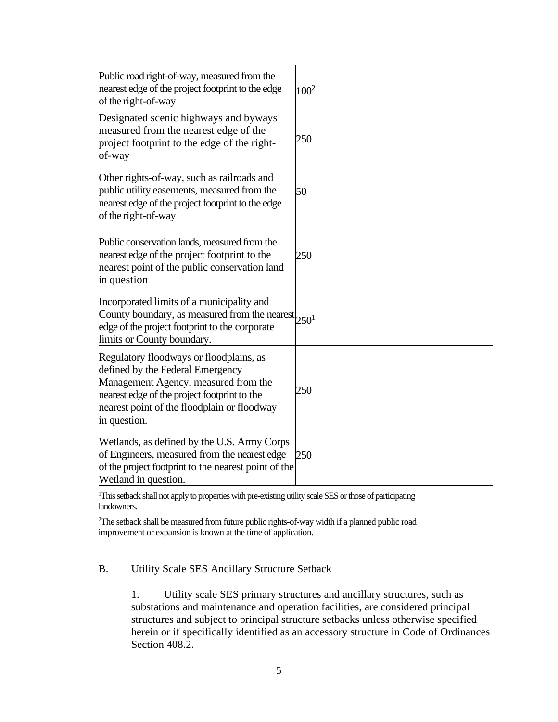| Public road right-of-way, measured from the<br>nearest edge of the project footprint to the edge<br>of the right-of-way                                                                                                            | $100^2$ |
|------------------------------------------------------------------------------------------------------------------------------------------------------------------------------------------------------------------------------------|---------|
| Designated scenic highways and byways<br>measured from the nearest edge of the<br>project footprint to the edge of the right-<br>of-way                                                                                            | 250     |
| Other rights-of-way, such as railroads and<br>public utility easements, measured from the<br>nearest edge of the project footprint to the edge<br>of the right-of-way                                                              | 50      |
| Public conservation lands, measured from the<br>nearest edge of the project footprint to the<br>nearest point of the public conservation land<br>in question                                                                       | 250     |
| Incorporated limits of a municipality and<br>County boundary, as measured from the nearest $250^1$<br>edge of the project footprint to the corporate<br>limits or County boundary.                                                 |         |
| Regulatory floodways or floodplains, as<br>defined by the Federal Emergency<br>Management Agency, measured from the<br>nearest edge of the project footprint to the<br>nearest point of the floodplain or floodway<br>in question. | 250     |
| Wetlands, as defined by the U.S. Army Corps<br>of Engineers, measured from the nearest edge<br>of the project footprint to the nearest point of the<br>Wetland in question.                                                        | 250     |

<sup>1</sup>This setback shall not apply to properties with pre-existing utility scale SES or those of participating landowners.

<sup>2</sup>The setback shall be measured from future public rights-of-way width if a planned public road improvement or expansion is known at the time of application.

# B. Utility Scale SES Ancillary Structure Setback

1. Utility scale SES primary structures and ancillary structures, such as substations and maintenance and operation facilities, are considered principal structures and subject to principal structure setbacks unless otherwise specified herein or if specifically identified as an accessory structure in Code of Ordinances Section 408.2.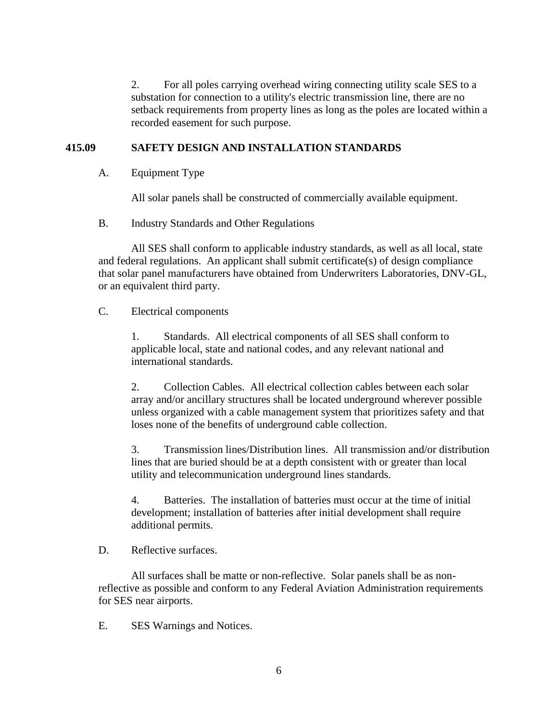2. For all poles carrying overhead wiring connecting utility scale SES to a substation for connection to a utility's electric transmission line, there are no setback requirements from property lines as long as the poles are located within a recorded easement for such purpose.

## **415.09 SAFETY DESIGN AND INSTALLATION STANDARDS**

A. Equipment Type

All solar panels shall be constructed of commercially available equipment.

B. Industry Standards and Other Regulations

All SES shall conform to applicable industry standards, as well as all local, state and federal regulations. An applicant shall submit certificate(s) of design compliance that solar panel manufacturers have obtained from Underwriters Laboratories, DNV-GL, or an equivalent third party.

## C. Electrical components

1. Standards. All electrical components of all SES shall conform to applicable local, state and national codes, and any relevant national and international standards.

2. Collection Cables. All electrical collection cables between each solar array and/or ancillary structures shall be located underground wherever possible unless organized with a cable management system that prioritizes safety and that loses none of the benefits of underground cable collection.

3. Transmission lines/Distribution lines. All transmission and/or distribution lines that are buried should be at a depth consistent with or greater than local utility and telecommunication underground lines standards.

4. Batteries. The installation of batteries must occur at the time of initial development; installation of batteries after initial development shall require additional permits.

D. Reflective surfaces.

All surfaces shall be matte or non-reflective. Solar panels shall be as nonreflective as possible and conform to any Federal Aviation Administration requirements for SES near airports.

E. SES Warnings and Notices.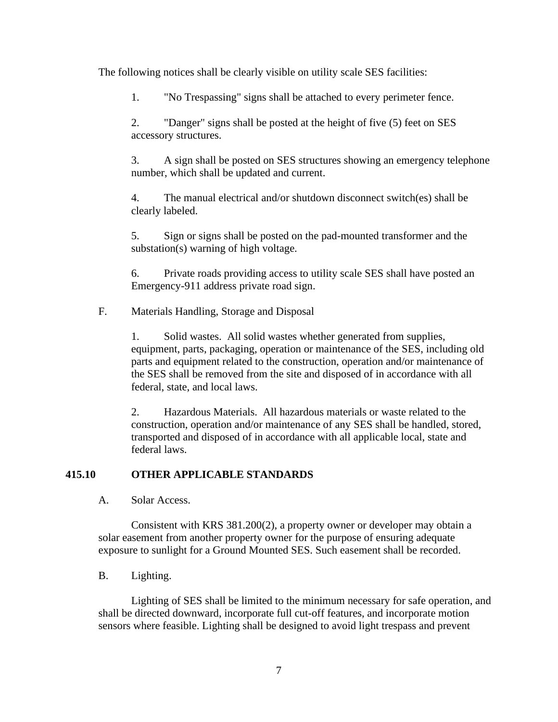The following notices shall be clearly visible on utility scale SES facilities:

1. "No Trespassing" signs shall be attached to every perimeter fence.

2. "Danger" signs shall be posted at the height of five (5) feet on SES accessory structures.

3. A sign shall be posted on SES structures showing an emergency telephone number, which shall be updated and current.

4. The manual electrical and/or shutdown disconnect switch(es) shall be clearly labeled.

5. Sign or signs shall be posted on the pad-mounted transformer and the substation(s) warning of high voltage.

6. Private roads providing access to utility scale SES shall have posted an Emergency-911 address private road sign.

F. Materials Handling, Storage and Disposal

1. Solid wastes. All solid wastes whether generated from supplies, equipment, parts, packaging, operation or maintenance of the SES, including old parts and equipment related to the construction, operation and/or maintenance of the SES shall be removed from the site and disposed of in accordance with all federal, state, and local laws.

2. Hazardous Materials. All hazardous materials or waste related to the construction, operation and/or maintenance of any SES shall be handled, stored, transported and disposed of in accordance with all applicable local, state and federal laws.

# **415.10 OTHER APPLICABLE STANDARDS**

A. Solar Access.

Consistent with KRS 381.200(2), a property owner or developer may obtain a solar easement from another property owner for the purpose of ensuring adequate exposure to sunlight for a Ground Mounted SES. Such easement shall be recorded.

# B. Lighting.

Lighting of SES shall be limited to the minimum necessary for safe operation, and shall be directed downward, incorporate full cut-off features, and incorporate motion sensors where feasible. Lighting shall be designed to avoid light trespass and prevent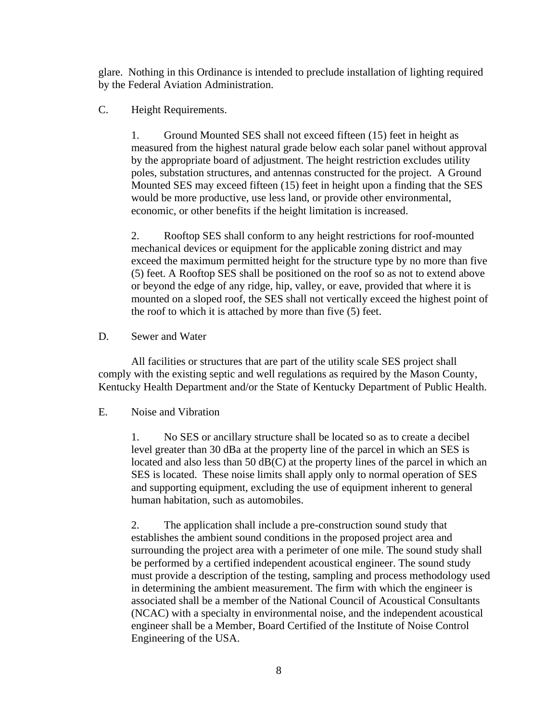glare. Nothing in this Ordinance is intended to preclude installation of lighting required by the Federal Aviation Administration.

## C. Height Requirements.

1. Ground Mounted SES shall not exceed fifteen (15) feet in height as measured from the highest natural grade below each solar panel without approval by the appropriate board of adjustment. The height restriction excludes utility poles, substation structures, and antennas constructed for the project. A Ground Mounted SES may exceed fifteen (15) feet in height upon a finding that the SES would be more productive, use less land, or provide other environmental, economic, or other benefits if the height limitation is increased.

2. Rooftop SES shall conform to any height restrictions for roof-mounted mechanical devices or equipment for the applicable zoning district and may exceed the maximum permitted height for the structure type by no more than five (5) feet. A Rooftop SES shall be positioned on the roof so as not to extend above or beyond the edge of any ridge, hip, valley, or eave, provided that where it is mounted on a sloped roof, the SES shall not vertically exceed the highest point of the roof to which it is attached by more than five (5) feet.

### D. Sewer and Water

All facilities or structures that are part of the utility scale SES project shall comply with the existing septic and well regulations as required by the Mason County, Kentucky Health Department and/or the State of Kentucky Department of Public Health.

### E. Noise and Vibration

1. No SES or ancillary structure shall be located so as to create a decibel level greater than 30 dBa at the property line of the parcel in which an SES is located and also less than 50  $dB(C)$  at the property lines of the parcel in which an SES is located. These noise limits shall apply only to normal operation of SES and supporting equipment, excluding the use of equipment inherent to general human habitation, such as automobiles.

2. The application shall include a pre-construction sound study that establishes the ambient sound conditions in the proposed project area and surrounding the project area with a perimeter of one mile. The sound study shall be performed by a certified independent acoustical engineer. The sound study must provide a description of the testing, sampling and process methodology used in determining the ambient measurement. The firm with which the engineer is associated shall be a member of the National Council of Acoustical Consultants (NCAC) with a specialty in environmental noise, and the independent acoustical engineer shall be a Member, Board Certified of the Institute of Noise Control Engineering of the USA.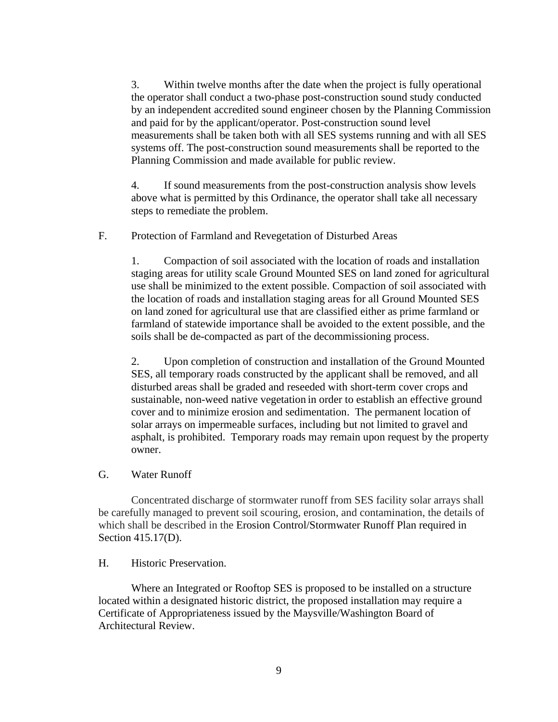3. Within twelve months after the date when the project is fully operational the operator shall conduct a two-phase post-construction sound study conducted by an independent accredited sound engineer chosen by the Planning Commission and paid for by the applicant/operator. Post-construction sound level measurements shall be taken both with all SES systems running and with all SES systems off. The post-construction sound measurements shall be reported to the Planning Commission and made available for public review.

4. If sound measurements from the post-construction analysis show levels above what is permitted by this Ordinance, the operator shall take all necessary steps to remediate the problem.

### F. Protection of Farmland and Revegetation of Disturbed Areas

1. Compaction of soil associated with the location of roads and installation staging areas for utility scale Ground Mounted SES on land zoned for agricultural use shall be minimized to the extent possible. Compaction of soil associated with the location of roads and installation staging areas for all Ground Mounted SES on land zoned for agricultural use that are classified either as prime farmland or farmland of statewide importance shall be avoided to the extent possible, and the soils shall be de-compacted as part of the decommissioning process.

2. Upon completion of construction and installation of the Ground Mounted SES, all temporary roads constructed by the applicant shall be removed, and all disturbed areas shall be graded and reseeded with short-term cover crops and sustainable, non-weed native vegetation in order to establish an effective ground cover and to minimize erosion and sedimentation. The permanent location of solar arrays on impermeable surfaces, including but not limited to gravel and asphalt, is prohibited. Temporary roads may remain upon request by the property owner.

#### G. Water Runoff

Concentrated discharge of stormwater runoff from SES facility solar arrays shall be carefully managed to prevent soil scouring, erosion, and contamination, the details of which shall be described in the Erosion Control/Stormwater Runoff Plan required in Section 415.17(D).

#### H. Historic Preservation.

Where an Integrated or Rooftop SES is proposed to be installed on a structure located within a designated historic district, the proposed installation may require a Certificate of Appropriateness issued by the Maysville/Washington Board of Architectural Review.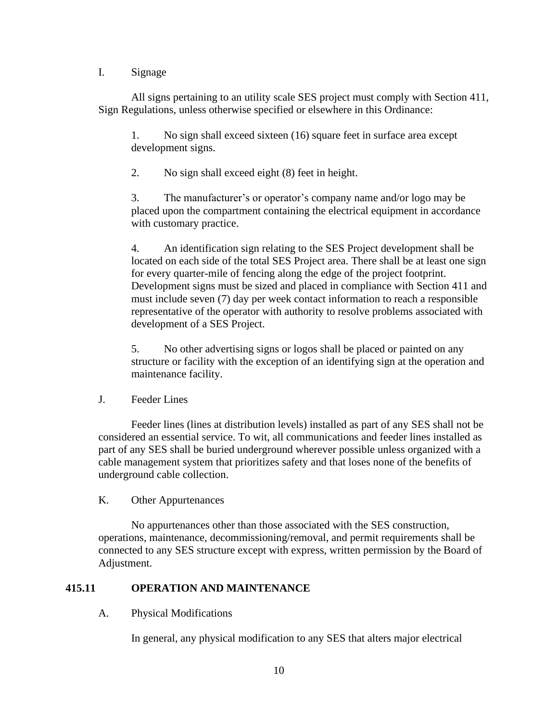### I. Signage

All signs pertaining to an utility scale SES project must comply with Section 411, Sign Regulations, unless otherwise specified or elsewhere in this Ordinance:

1. No sign shall exceed sixteen (16) square feet in surface area except development signs.

2. No sign shall exceed eight (8) feet in height.

3. The manufacturer's or operator's company name and/or logo may be placed upon the compartment containing the electrical equipment in accordance with customary practice.

4. An identification sign relating to the SES Project development shall be located on each side of the total SES Project area. There shall be at least one sign for every quarter-mile of fencing along the edge of the project footprint. Development signs must be sized and placed in compliance with Section 411 and must include seven (7) day per week contact information to reach a responsible representative of the operator with authority to resolve problems associated with development of a SES Project.

5. No other advertising signs or logos shall be placed or painted on any structure or facility with the exception of an identifying sign at the operation and maintenance facility.

### J. Feeder Lines

Feeder lines (lines at distribution levels) installed as part of any SES shall not be considered an essential service. To wit, all communications and feeder lines installed as part of any SES shall be buried underground wherever possible unless organized with a cable management system that prioritizes safety and that loses none of the benefits of underground cable collection.

### K. Other Appurtenances

No appurtenances other than those associated with the SES construction, operations, maintenance, decommissioning/removal, and permit requirements shall be connected to any SES structure except with express, written permission by the Board of Adjustment.

# **415.11 OPERATION AND MAINTENANCE**

### A. Physical Modifications

In general, any physical modification to any SES that alters major electrical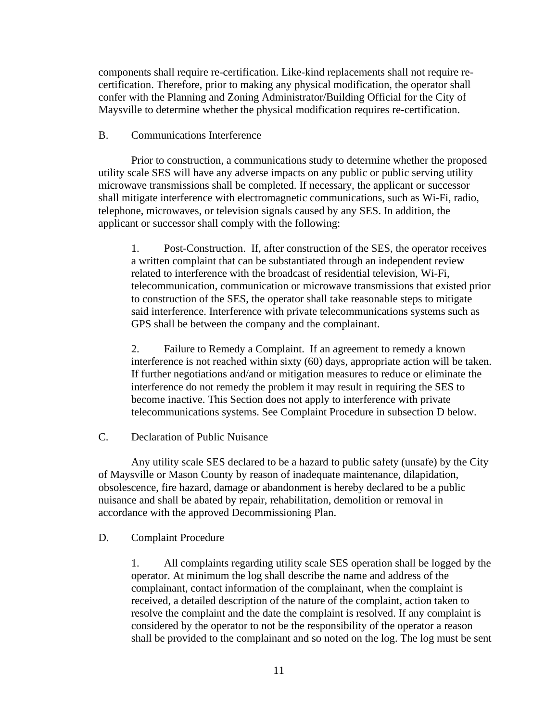components shall require re-certification. Like-kind replacements shall not require recertification. Therefore, prior to making any physical modification, the operator shall confer with the Planning and Zoning Administrator/Building Official for the City of Maysville to determine whether the physical modification requires re-certification.

#### B. Communications Interference

Prior to construction, a communications study to determine whether the proposed utility scale SES will have any adverse impacts on any public or public serving utility microwave transmissions shall be completed. If necessary, the applicant or successor shall mitigate interference with electromagnetic communications, such as Wi-Fi, radio, telephone, microwaves, or television signals caused by any SES. In addition, the applicant or successor shall comply with the following:

1. Post-Construction. If, after construction of the SES, the operator receives a written complaint that can be substantiated through an independent review related to interference with the broadcast of residential television, Wi-Fi, telecommunication, communication or microwave transmissions that existed prior to construction of the SES, the operator shall take reasonable steps to mitigate said interference. Interference with private telecommunications systems such as GPS shall be between the company and the complainant.

2. Failure to Remedy a Complaint. If an agreement to remedy a known interference is not reached within sixty (60) days, appropriate action will be taken. If further negotiations and/and or mitigation measures to reduce or eliminate the interference do not remedy the problem it may result in requiring the SES to become inactive. This Section does not apply to interference with private telecommunications systems. See Complaint Procedure in subsection D below.

#### C. Declaration of Public Nuisance

Any utility scale SES declared to be a hazard to public safety (unsafe) by the City of Maysville or Mason County by reason of inadequate maintenance, dilapidation, obsolescence, fire hazard, damage or abandonment is hereby declared to be a public nuisance and shall be abated by repair, rehabilitation, demolition or removal in accordance with the approved Decommissioning Plan.

#### D. Complaint Procedure

1. All complaints regarding utility scale SES operation shall be logged by the operator. At minimum the log shall describe the name and address of the complainant, contact information of the complainant, when the complaint is received, a detailed description of the nature of the complaint, action taken to resolve the complaint and the date the complaint is resolved. If any complaint is considered by the operator to not be the responsibility of the operator a reason shall be provided to the complainant and so noted on the log. The log must be sent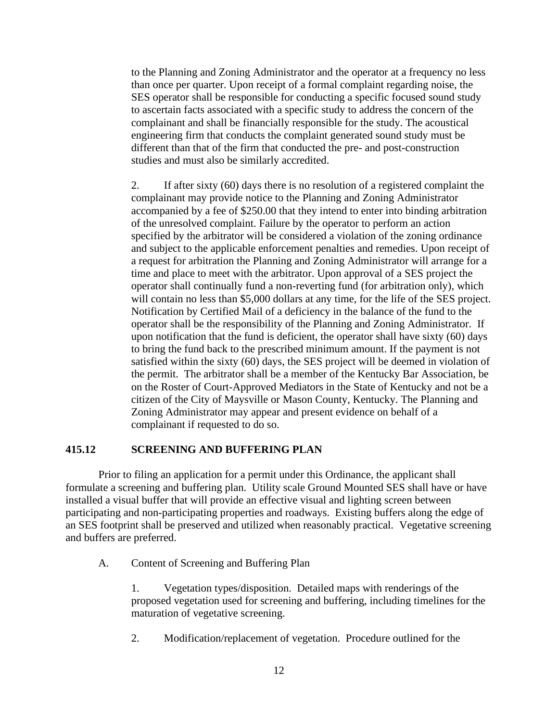to the Planning and Zoning Administrator and the operator at a frequency no less than once per quarter. Upon receipt of a formal complaint regarding noise, the SES operator shall be responsible for conducting a specific focused sound study to ascertain facts associated with a specific study to address the concern of the complainant and shall be financially responsible for the study. The acoustical engineering firm that conducts the complaint generated sound study must be different than that of the firm that conducted the pre- and post-construction studies and must also be similarly accredited.

2. If after sixty (60) days there is no resolution of a registered complaint the complainant may provide notice to the Planning and Zoning Administrator accompanied by a fee of \$250.00 that they intend to enter into binding arbitration of the unresolved complaint. Failure by the operator to perform an action specified by the arbitrator will be considered a violation of the zoning ordinance and subject to the applicable enforcement penalties and remedies. Upon receipt of a request for arbitration the Planning and Zoning Administrator will arrange for a time and place to meet with the arbitrator. Upon approval of a SES project the operator shall continually fund a non-reverting fund (for arbitration only), which will contain no less than \$5,000 dollars at any time, for the life of the SES project. Notification by Certified Mail of a deficiency in the balance of the fund to the operator shall be the responsibility of the Planning and Zoning Administrator. If upon notification that the fund is deficient, the operator shall have sixty (60) days to bring the fund back to the prescribed minimum amount. If the payment is not satisfied within the sixty (60) days, the SES project will be deemed in violation of the permit. The arbitrator shall be a member of the Kentucky Bar Association, be on the Roster of Court-Approved Mediators in the State of Kentucky and not be a citizen of the City of Maysville or Mason County, Kentucky. The Planning and Zoning Administrator may appear and present evidence on behalf of a complainant if requested to do so.

### **415.12 SCREENING AND BUFFERING PLAN**

Prior to filing an application for a permit under this Ordinance, the applicant shall formulate a screening and buffering plan. Utility scale Ground Mounted SES shall have or have installed a visual buffer that will provide an effective visual and lighting screen between participating and non-participating properties and roadways. Existing buffers along the edge of an SES footprint shall be preserved and utilized when reasonably practical. Vegetative screening and buffers are preferred.

A. Content of Screening and Buffering Plan

1. Vegetation types/disposition. Detailed maps with renderings of the proposed vegetation used for screening and buffering, including timelines for the maturation of vegetative screening.

2. Modification/replacement of vegetation. Procedure outlined for the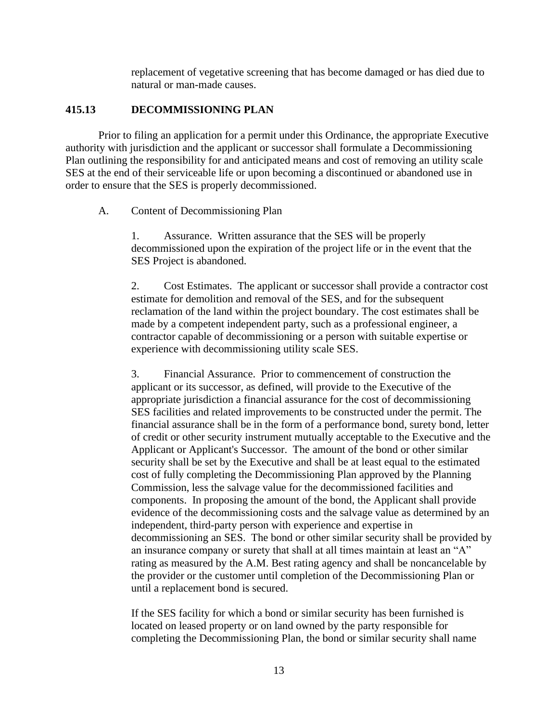replacement of vegetative screening that has become damaged or has died due to natural or man-made causes.

#### **415.13 DECOMMISSIONING PLAN**

Prior to filing an application for a permit under this Ordinance, the appropriate Executive authority with jurisdiction and the applicant or successor shall formulate a Decommissioning Plan outlining the responsibility for and anticipated means and cost of removing an utility scale SES at the end of their serviceable life or upon becoming a discontinued or abandoned use in order to ensure that the SES is properly decommissioned.

#### A. Content of Decommissioning Plan

1. Assurance. Written assurance that the SES will be properly decommissioned upon the expiration of the project life or in the event that the SES Project is abandoned.

2. Cost Estimates. The applicant or successor shall provide a contractor cost estimate for demolition and removal of the SES, and for the subsequent reclamation of the land within the project boundary. The cost estimates shall be made by a competent independent party, such as a professional engineer, a contractor capable of decommissioning or a person with suitable expertise or experience with decommissioning utility scale SES.

3. Financial Assurance. Prior to commencement of construction the applicant or its successor, as defined, will provide to the Executive of the appropriate jurisdiction a financial assurance for the cost of decommissioning SES facilities and related improvements to be constructed under the permit. The financial assurance shall be in the form of a performance bond, surety bond, letter of credit or other security instrument mutually acceptable to the Executive and the Applicant or Applicant's Successor. The amount of the bond or other similar security shall be set by the Executive and shall be at least equal to the estimated cost of fully completing the Decommissioning Plan approved by the Planning Commission, less the salvage value for the decommissioned facilities and components. In proposing the amount of the bond, the Applicant shall provide evidence of the decommissioning costs and the salvage value as determined by an independent, third-party person with experience and expertise in decommissioning an SES. The bond or other similar security shall be provided by an insurance company or surety that shall at all times maintain at least an "A" rating as measured by the A.M. Best rating agency and shall be noncancelable by the provider or the customer until completion of the Decommissioning Plan or until a replacement bond is secured.

If the SES facility for which a bond or similar security has been furnished is located on leased property or on land owned by the party responsible for completing the Decommissioning Plan, the bond or similar security shall name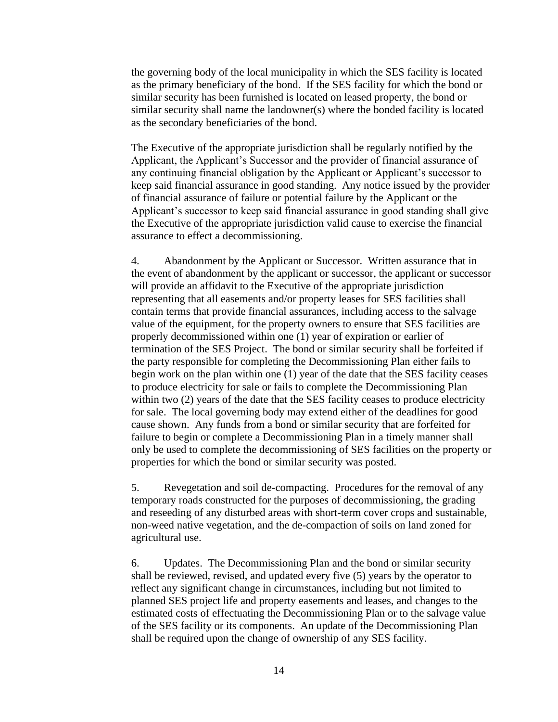the governing body of the local municipality in which the SES facility is located as the primary beneficiary of the bond. If the SES facility for which the bond or similar security has been furnished is located on leased property, the bond or similar security shall name the landowner(s) where the bonded facility is located as the secondary beneficiaries of the bond.

The Executive of the appropriate jurisdiction shall be regularly notified by the Applicant, the Applicant's Successor and the provider of financial assurance of any continuing financial obligation by the Applicant or Applicant's successor to keep said financial assurance in good standing. Any notice issued by the provider of financial assurance of failure or potential failure by the Applicant or the Applicant's successor to keep said financial assurance in good standing shall give the Executive of the appropriate jurisdiction valid cause to exercise the financial assurance to effect a decommissioning.

4. Abandonment by the Applicant or Successor. Written assurance that in the event of abandonment by the applicant or successor, the applicant or successor will provide an affidavit to the Executive of the appropriate jurisdiction representing that all easements and/or property leases for SES facilities shall contain terms that provide financial assurances, including access to the salvage value of the equipment, for the property owners to ensure that SES facilities are properly decommissioned within one (1) year of expiration or earlier of termination of the SES Project. The bond or similar security shall be forfeited if the party responsible for completing the Decommissioning Plan either fails to begin work on the plan within one (1) year of the date that the SES facility ceases to produce electricity for sale or fails to complete the Decommissioning Plan within two (2) years of the date that the SES facility ceases to produce electricity for sale. The local governing body may extend either of the deadlines for good cause shown. Any funds from a bond or similar security that are forfeited for failure to begin or complete a Decommissioning Plan in a timely manner shall only be used to complete the decommissioning of SES facilities on the property or properties for which the bond or similar security was posted.

5. Revegetation and soil de-compacting. Procedures for the removal of any temporary roads constructed for the purposes of decommissioning, the grading and reseeding of any disturbed areas with short-term cover crops and sustainable, non-weed native vegetation, and the de-compaction of soils on land zoned for agricultural use.

6. Updates. The Decommissioning Plan and the bond or similar security shall be reviewed, revised, and updated every five (5) years by the operator to reflect any significant change in circumstances, including but not limited to planned SES project life and property easements and leases, and changes to the estimated costs of effectuating the Decommissioning Plan or to the salvage value of the SES facility or its components. An update of the Decommissioning Plan shall be required upon the change of ownership of any SES facility.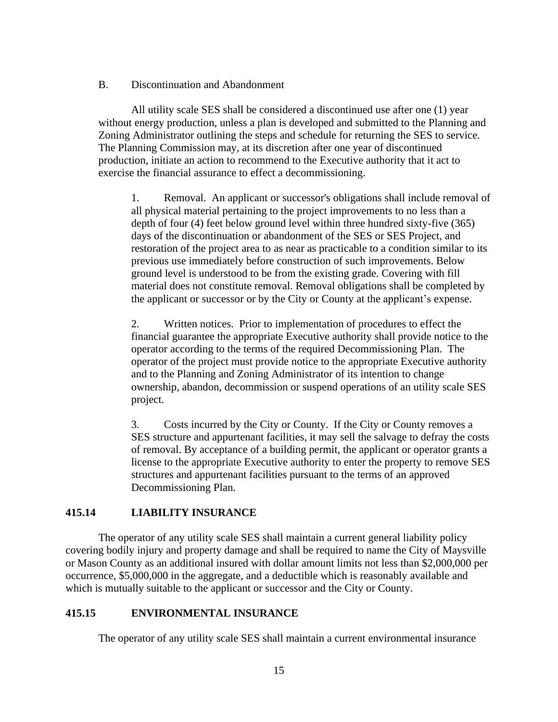B. Discontinuation and Abandonment

All utility scale SES shall be considered a discontinued use after one (1) year without energy production, unless a plan is developed and submitted to the Planning and Zoning Administrator outlining the steps and schedule for returning the SES to service. The Planning Commission may, at its discretion after one year of discontinued production, initiate an action to recommend to the Executive authority that it act to exercise the financial assurance to effect a decommissioning.

1. Removal. An applicant or successor's obligations shall include removal of all physical material pertaining to the project improvements to no less than a depth of four (4) feet below ground level within three hundred sixty-five (365) days of the discontinuation or abandonment of the SES or SES Project, and restoration of the project area to as near as practicable to a condition similar to its previous use immediately before construction of such improvements. Below ground level is understood to be from the existing grade. Covering with fill material does not constitute removal. Removal obligations shall be completed by the applicant or successor or by the City or County at the applicant's expense.

2. Written notices. Prior to implementation of procedures to effect the financial guarantee the appropriate Executive authority shall provide notice to the operator according to the terms of the required Decommissioning Plan. The operator of the project must provide notice to the appropriate Executive authority and to the Planning and Zoning Administrator of its intention to change ownership, abandon, decommission or suspend operations of an utility scale SES project.

3. Costs incurred by the City or County. If the City or County removes a SES structure and appurtenant facilities, it may sell the salvage to defray the costs of removal. By acceptance of a building permit, the applicant or operator grants a license to the appropriate Executive authority to enter the property to remove SES structures and appurtenant facilities pursuant to the terms of an approved Decommissioning Plan.

### **415.14 LIABILITY INSURANCE**

The operator of any utility scale SES shall maintain a current general liability policy covering bodily injury and property damage and shall be required to name the City of Maysville or Mason County as an additional insured with dollar amount limits not less than \$2,000,000 per occurrence, \$5,000,000 in the aggregate, and a deductible which is reasonably available and which is mutually suitable to the applicant or successor and the City or County.

### **415.15 ENVIRONMENTAL INSURANCE**

The operator of any utility scale SES shall maintain a current environmental insurance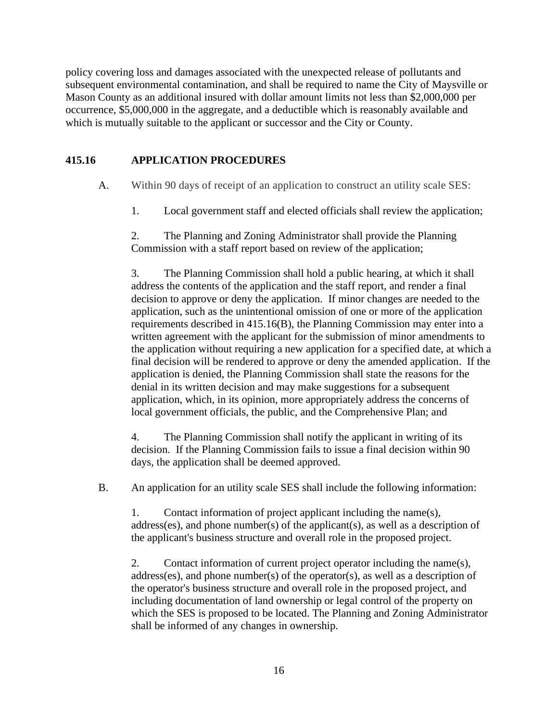policy covering loss and damages associated with the unexpected release of pollutants and subsequent environmental contamination, and shall be required to name the City of Maysville or Mason County as an additional insured with dollar amount limits not less than \$2,000,000 per occurrence, \$5,000,000 in the aggregate, and a deductible which is reasonably available and which is mutually suitable to the applicant or successor and the City or County.

# **415.16 APPLICATION PROCEDURES**

- A. Within 90 days of receipt of an application to construct an utility scale SES:
	- 1. Local government staff and elected officials shall review the application;

2. The Planning and Zoning Administrator shall provide the Planning Commission with a staff report based on review of the application;

3. The Planning Commission shall hold a public hearing, at which it shall address the contents of the application and the staff report, and render a final decision to approve or deny the application. If minor changes are needed to the application, such as the unintentional omission of one or more of the application requirements described in 415.16(B), the Planning Commission may enter into a written agreement with the applicant for the submission of minor amendments to the application without requiring a new application for a specified date, at which a final decision will be rendered to approve or deny the amended application. If the application is denied, the Planning Commission shall state the reasons for the denial in its written decision and may make suggestions for a subsequent application, which, in its opinion, more appropriately address the concerns of local government officials, the public, and the Comprehensive Plan; and

4. The Planning Commission shall notify the applicant in writing of its decision. If the Planning Commission fails to issue a final decision within 90 days, the application shall be deemed approved.

B. An application for an utility scale SES shall include the following information:

1. Contact information of project applicant including the name(s), address(es), and phone number(s) of the applicant(s), as well as a description of the applicant's business structure and overall role in the proposed project.

2. Contact information of current project operator including the name(s), address(es), and phone number(s) of the operator(s), as well as a description of the operator's business structure and overall role in the proposed project, and including documentation of land ownership or legal control of the property on which the SES is proposed to be located. The Planning and Zoning Administrator shall be informed of any changes in ownership.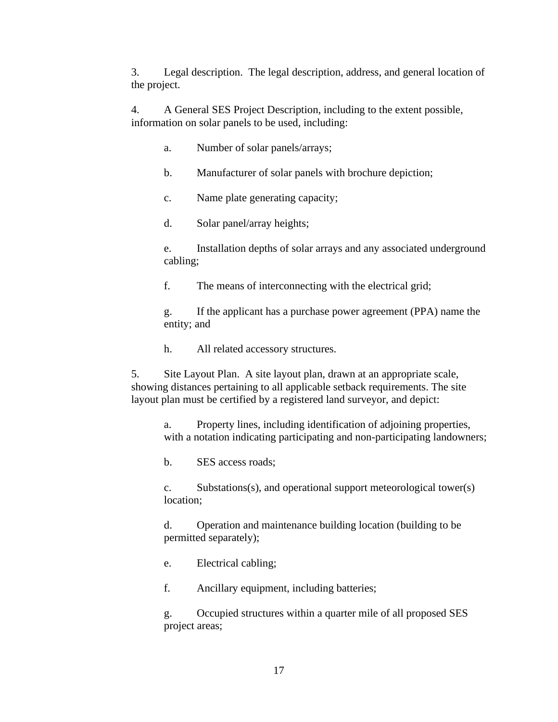3. Legal description. The legal description, address, and general location of the project.

4. A General SES Project Description, including to the extent possible, information on solar panels to be used, including:

- a. Number of solar panels/arrays;
- b. Manufacturer of solar panels with brochure depiction;
- c. Name plate generating capacity;
- d. Solar panel/array heights;

e. Installation depths of solar arrays and any associated underground cabling;

f. The means of interconnecting with the electrical grid;

g. If the applicant has a purchase power agreement (PPA) name the entity; and

h. All related accessory structures.

5. Site Layout Plan. A site layout plan, drawn at an appropriate scale, showing distances pertaining to all applicable setback requirements. The site layout plan must be certified by a registered land surveyor, and depict:

a. Property lines, including identification of adjoining properties, with a notation indicating participating and non-participating landowners;

b. SES access roads;

c. Substations(s), and operational support meteorological tower(s) location;

d. Operation and maintenance building location (building to be permitted separately);

e. Electrical cabling;

f. Ancillary equipment, including batteries;

g. Occupied structures within a quarter mile of all proposed SES project areas;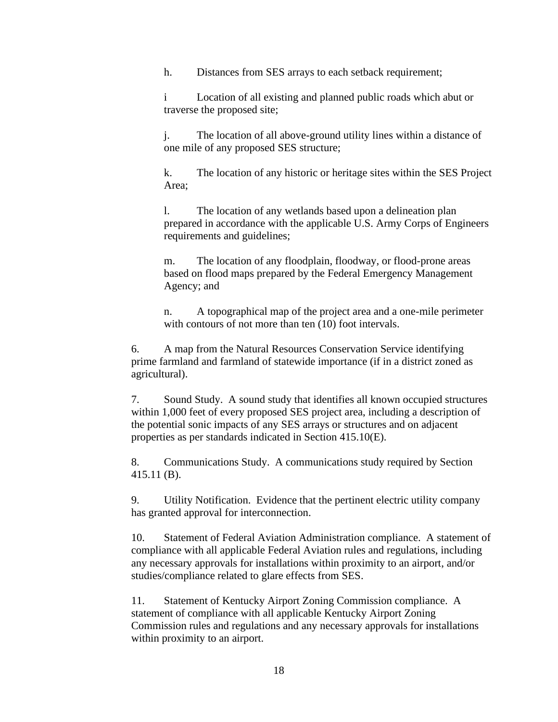h. Distances from SES arrays to each setback requirement;

i Location of all existing and planned public roads which abut or traverse the proposed site;

j. The location of all above-ground utility lines within a distance of one mile of any proposed SES structure;

k. The location of any historic or heritage sites within the SES Project Area;

l. The location of any wetlands based upon a delineation plan prepared in accordance with the applicable U.S. Army Corps of Engineers requirements and guidelines;

m. The location of any floodplain, floodway, or flood-prone areas based on flood maps prepared by the Federal Emergency Management Agency; and

n. A topographical map of the project area and a one-mile perimeter with contours of not more than ten  $(10)$  foot intervals.

6. A map from the Natural Resources Conservation Service identifying prime farmland and farmland of statewide importance (if in a district zoned as agricultural).

7. Sound Study. A sound study that identifies all known occupied structures within 1,000 feet of every proposed SES project area, including a description of the potential sonic impacts of any SES arrays or structures and on adjacent properties as per standards indicated in Section 415.10(E).

8. Communications Study. A communications study required by Section 415.11 (B).

9. Utility Notification. Evidence that the pertinent electric utility company has granted approval for interconnection.

10. Statement of Federal Aviation Administration compliance. A statement of compliance with all applicable Federal Aviation rules and regulations, including any necessary approvals for installations within proximity to an airport, and/or studies/compliance related to glare effects from SES.

11. Statement of Kentucky Airport Zoning Commission compliance. A statement of compliance with all applicable Kentucky Airport Zoning Commission rules and regulations and any necessary approvals for installations within proximity to an airport.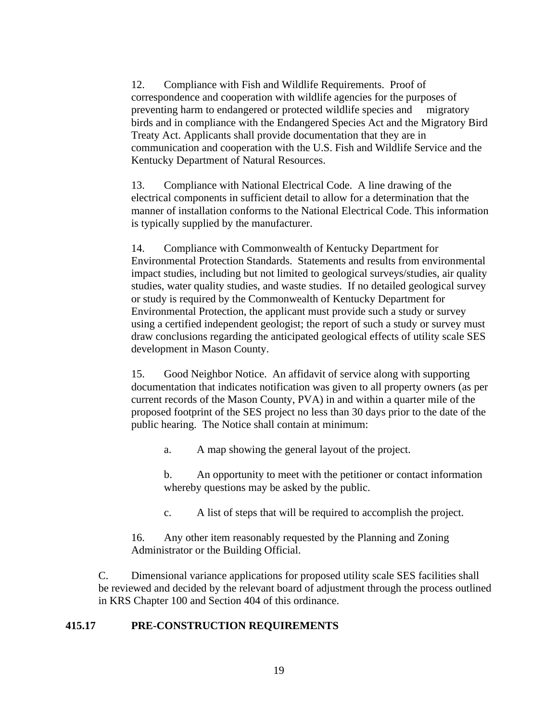12. Compliance with Fish and Wildlife Requirements. Proof of correspondence and cooperation with wildlife agencies for the purposes of preventing harm to endangered or protected wildlife species and migratory birds and in compliance with the Endangered Species Act and the Migratory Bird Treaty Act. Applicants shall provide documentation that they are in communication and cooperation with the U.S. Fish and Wildlife Service and the Kentucky Department of Natural Resources.

13. Compliance with National Electrical Code. A line drawing of the electrical components in sufficient detail to allow for a determination that the manner of installation conforms to the National Electrical Code. This information is typically supplied by the manufacturer.

14. Compliance with Commonwealth of Kentucky Department for Environmental Protection Standards. Statements and results from environmental impact studies, including but not limited to geological surveys/studies, air quality studies, water quality studies, and waste studies. If no detailed geological survey or study is required by the Commonwealth of Kentucky Department for Environmental Protection, the applicant must provide such a study or survey using a certified independent geologist; the report of such a study or survey must draw conclusions regarding the anticipated geological effects of utility scale SES development in Mason County.

15. Good Neighbor Notice. An affidavit of service along with supporting documentation that indicates notification was given to all property owners (as per current records of the Mason County, PVA) in and within a quarter mile of the proposed footprint of the SES project no less than 30 days prior to the date of the public hearing. The Notice shall contain at minimum:

a. A map showing the general layout of the project.

b. An opportunity to meet with the petitioner or contact information whereby questions may be asked by the public.

c. A list of steps that will be required to accomplish the project.

16. Any other item reasonably requested by the Planning and Zoning Administrator or the Building Official.

C. Dimensional variance applications for proposed utility scale SES facilities shall be reviewed and decided by the relevant board of adjustment through the process outlined in KRS Chapter 100 and Section 404 of this ordinance.

### **415.17 PRE-CONSTRUCTION REQUIREMENTS**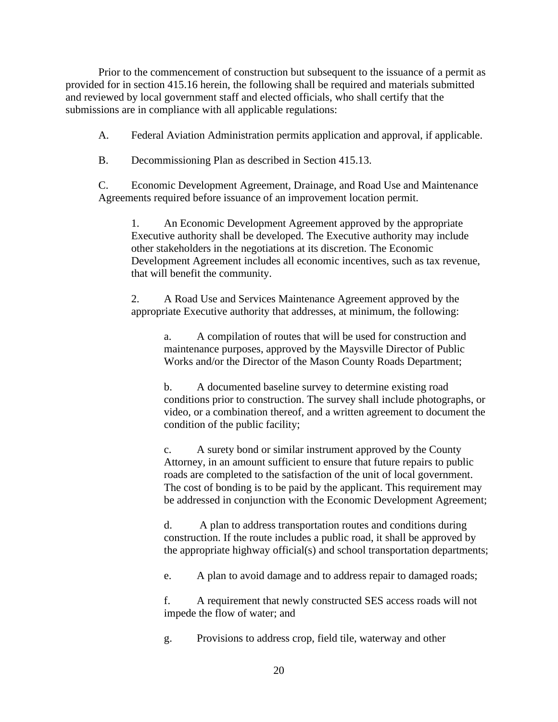Prior to the commencement of construction but subsequent to the issuance of a permit as provided for in section 415.16 herein, the following shall be required and materials submitted and reviewed by local government staff and elected officials, who shall certify that the submissions are in compliance with all applicable regulations:

A. Federal Aviation Administration permits application and approval, if applicable.

B. Decommissioning Plan as described in Section 415.13.

C. Economic Development Agreement, Drainage, and Road Use and Maintenance Agreements required before issuance of an improvement location permit.

1. An Economic Development Agreement approved by the appropriate Executive authority shall be developed. The Executive authority may include other stakeholders in the negotiations at its discretion. The Economic Development Agreement includes all economic incentives, such as tax revenue, that will benefit the community.

2. A Road Use and Services Maintenance Agreement approved by the appropriate Executive authority that addresses, at minimum, the following:

a. A compilation of routes that will be used for construction and maintenance purposes, approved by the Maysville Director of Public Works and/or the Director of the Mason County Roads Department;

b. A documented baseline survey to determine existing road conditions prior to construction. The survey shall include photographs, or video, or a combination thereof, and a written agreement to document the condition of the public facility;

c. A surety bond or similar instrument approved by the County Attorney, in an amount sufficient to ensure that future repairs to public roads are completed to the satisfaction of the unit of local government. The cost of bonding is to be paid by the applicant. This requirement may be addressed in conjunction with the Economic Development Agreement;

d. A plan to address transportation routes and conditions during construction. If the route includes a public road, it shall be approved by the appropriate highway official(s) and school transportation departments;

e. A plan to avoid damage and to address repair to damaged roads;

f. A requirement that newly constructed SES access roads will not impede the flow of water; and

g. Provisions to address crop, field tile, waterway and other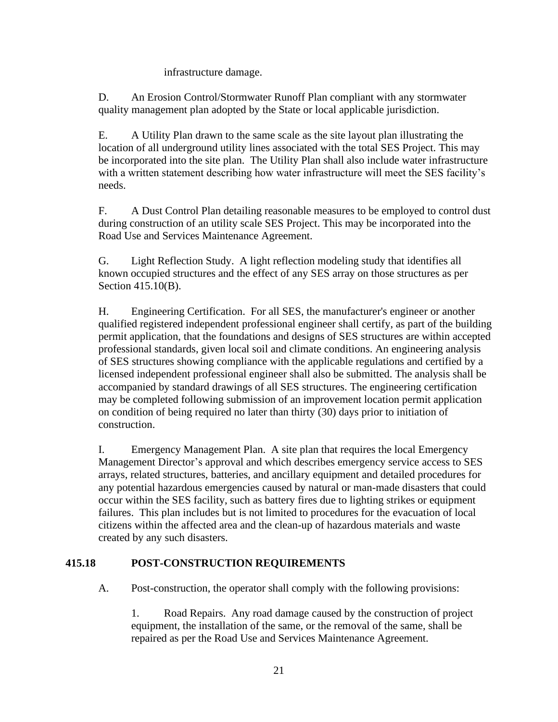## infrastructure damage.

D. An Erosion Control/Stormwater Runoff Plan compliant with any stormwater quality management plan adopted by the State or local applicable jurisdiction.

E. A Utility Plan drawn to the same scale as the site layout plan illustrating the location of all underground utility lines associated with the total SES Project. This may be incorporated into the site plan. The Utility Plan shall also include water infrastructure with a written statement describing how water infrastructure will meet the SES facility's needs.

F. A Dust Control Plan detailing reasonable measures to be employed to control dust during construction of an utility scale SES Project. This may be incorporated into the Road Use and Services Maintenance Agreement.

G. Light Reflection Study. A light reflection modeling study that identifies all known occupied structures and the effect of any SES array on those structures as per Section 415.10(B).

H. Engineering Certification. For all SES, the manufacturer's engineer or another qualified registered independent professional engineer shall certify, as part of the building permit application, that the foundations and designs of SES structures are within accepted professional standards, given local soil and climate conditions. An engineering analysis of SES structures showing compliance with the applicable regulations and certified by a licensed independent professional engineer shall also be submitted. The analysis shall be accompanied by standard drawings of all SES structures. The engineering certification may be completed following submission of an improvement location permit application on condition of being required no later than thirty (30) days prior to initiation of construction.

I. Emergency Management Plan. A site plan that requires the local Emergency Management Director's approval and which describes emergency service access to SES arrays, related structures, batteries, and ancillary equipment and detailed procedures for any potential hazardous emergencies caused by natural or man-made disasters that could occur within the SES facility, such as battery fires due to lighting strikes or equipment failures. This plan includes but is not limited to procedures for the evacuation of local citizens within the affected area and the clean-up of hazardous materials and waste created by any such disasters.

# **415.18 POST-CONSTRUCTION REQUIREMENTS**

A. Post-construction, the operator shall comply with the following provisions:

1. Road Repairs. Any road damage caused by the construction of project equipment, the installation of the same, or the removal of the same, shall be repaired as per the Road Use and Services Maintenance Agreement.